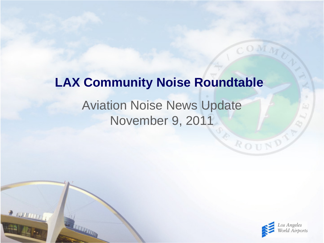# Aviation Noise News Update **LAX Community Noise Roundtable**

# November 9, 2011

 $2000000$ 



ROUND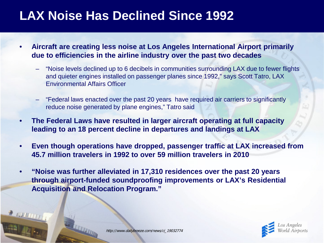## **LAX Noise Has Declined Since 1992**

- **Aircraft are creating less noise at Los Angeles International Airport primarily due to efficiencies in the airline industry over the past two decades**
	- "Noise levels declined up to 6 decibels in communities surrounding LAX due to fewer flights and quieter engines installed on passenger planes since 1992," says Scott Tatro, LAX Environmental Affairs Officer
	- "Federal laws enacted over the past 20 years have required air carriers to significantly reduce noise generated by plane engines," Tatro said
- **The Federal Laws have resulted in larger aircraft operating at full capacity leading to an 18 percent decline in departures and landings at LAX**
- **Even though operations have dropped, passenger traffic at LAX increased from 45.7 million travelers in 1992 to over 59 million travelers in 2010**
- **"Noise was further alleviated in 17,310 residences over the past 20 years through airport-funded soundproofing improvements or LAX's Residential Acquisition and Relocation Program."**

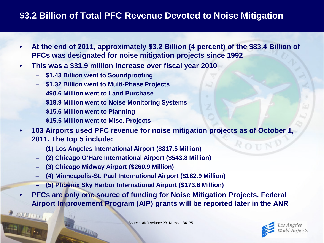## **\$3.2 Billion of Total PFC Revenue Devoted to Noise Mitigation**

- **At the end of 2011, approximately \$3.2 Billion (4 percent) of the \$83.4 Billion of PFCs was designated for noise mitigation projects since 1992**
- **This was a \$31.9 million increase over fiscal year 2010**
	- **\$1.43 Billion went to Soundproofing**
	- **\$1.32 Billion went to Multi-Phase Projects**
	- **490.6 Million went to Land Purchase**
	- **\$18.9 Million went to Noise Monitoring Systems**
	- **\$15.6 Million went to Planning**

**E NUMBER** 

- **\$15.5 Million went to Misc. Projects**
- **103 Airports used PFC revenue for noise mitigation projects as of October 1, 2011. The top 5 include:**  $R_{\text{O II}}N$ 
	- **(1) Los Angeles International Airport (\$817.5 Million)**
	- **(2) Chicago O'Hare International Airport (\$543.8 Million)**
	- **(3) Chicago Midway Airport (\$260.9 Million)**
	- **(4) Minneapolis-St. Paul International Airport (\$182.9 Million)**
	- **(5) Phoenix Sky Harbor International Airport (\$173.6 Million)**
- **PFCs are only one source of funding for Noise Mitigation Projects. Federal Airport Improvement Program (AIP) grants will be reported later in the ANR**



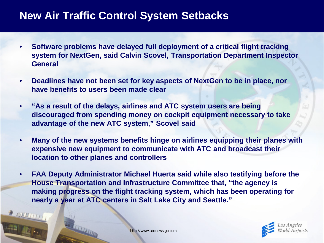## **New Air Traffic Control System Setbacks**

- **Software problems have delayed full deployment of a critical flight tracking system for NextGen, said Calvin Scovel, Transportation Department Inspector General**
- **Deadlines have not been set for key aspects of NextGen to be in place, nor have benefits to users been made clear**
- **"As a result of the delays, airlines and ATC system users are being discouraged from spending money on cockpit equipment necessary to take advantage of the new ATC system," Scovel said**
- **Many of the new systems benefits hinge on airlines equipping their planes with expensive new equipment to communicate with ATC and broadcast their location to other planes and controllers**
- **FAA Deputy Administrator Michael Huerta said while also testifying before the House Transportation and Infrastructure Committee that, "the agency is making progress on the flight tracking system, which has been operating for nearly a year at ATC centers in Salt Lake City and Seattle."**



**PERMITTY**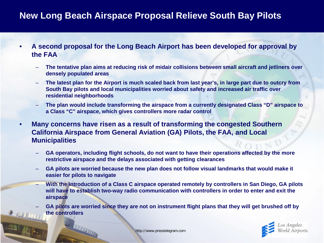## **New Long Beach Airspace Proposal Relieve South Bay Pilots**

- **A second proposal for the Long Beach Airport has been developed for approval by the FAA**
	- **The tentative plan aims at reducing risk of midair collisions between small aircraft and jetliners over densely populated areas**
	- **The latest plan for the Airport is much scaled back from last year's, in large part due to outcry from South Bay pilots and local municipalities worried about safety and increased air traffic over residential neighborhoods**
	- **The plan would include transforming the airspace from a currently designated Class "D" airspace to a Class "C" airspace, which gives controllers more radar control**
- **Many concerns have risen as a result of transforming the congested Southern California Airspace from General Aviation (GA) Pilots, the FAA, and Local Municipalities**
	- **GA operators, including flight schools, do not want to have their operations affected by the more restrictive airspace and the delays associated with getting clearances**
	- **GA pilots are worried because the new plan does not follow visual landmarks that would make it easier for pilots to navigate**
	- **With the introduction of a Class C airspace operated remotely by controllers in San Diego, GA pilots will have to establish two-way radio communication with controllers in order to enter and exit the airspace**
	- **GA pilots are worried since they are not on instrument flight plans that they will get brushed off by the controllers**



http://www.presstelegram.com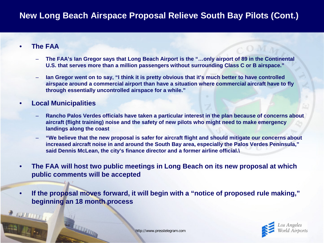### **New Long Beach Airspace Proposal Relieve South Bay Pilots (Cont.)**

#### • **The FAA**

**PERMITTI** 

- **The FAA's Ian Gregor says that Long Beach Airport is the "…only airport of 89 in the Continental U.S. that serves more than a million passengers without surrounding Class C or B airspace."**
- **Ian Gregor went on to say, "I think it is pretty obvious that it's much better to have controlled airspace around a commercial airport than have a situation where commercial aircraft have to fly through essentially uncontrolled airspace for a while."**

#### • **Local Municipalities**

- **Rancho Palos Verdes officials have taken a particular interest in the plan because of concerns about aircraft (flight training) noise and the safety of new pilots who might need to make emergency landings along the coast**
- **"We believe that the new proposal is safer for aircraft flight and should mitigate our concerns about increased aircraft noise in and around the South Bay area, especially the Palos Verdes Peninsula," said Dennis McLean, the city's finance director and a former airline official.\**
- **The FAA will host two public meetings in Long Beach on its new proposal at which public comments will be accepted**
- **If the proposal moves forward, it will begin with a "notice of proposed rule making," beginning an 18 month process**

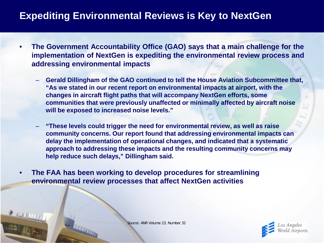## **Expediting Environmental Reviews is Key to NextGen**

- **The Government Accountability Office (GAO) says that a main challenge for the implementation of NextGen is expediting the environmental review process and addressing environmental impacts**
	- **Gerald Dillingham of the GAO continued to tell the House Aviation Subcommittee that, "As we stated in our recent report on environmental impacts at airport, with the changes in aircraft flight paths that will accompany NextGen efforts, some communities that were previously unaffected or minimally affected by aircraft noise will be exposed to increased noise levels."**
	- **"These levels could trigger the need for environmental review, as well as raise community concerns. Our report found that addressing environmental impacts can delay the implementation of operational changes, and indicated that a systematic approach to addressing these impacts and the resulting community concerns may help reduce such delays," Dillingham said.**

• **The FAA has been working to develop procedures for streamlining environmental review processes that affect NextGen activities**



Source: ANR Volume 23, Number 32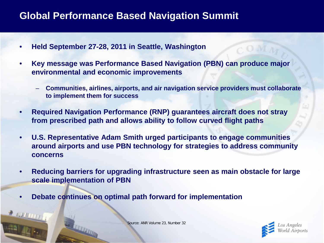## **Global Performance Based Navigation Summit**

- **Held September 27-28, 2011 in Seattle, Washington**
- **Key message was Performance Based Navigation (PBN) can produce major environmental and economic improvements**
	- **Communities, airlines, airports, and air navigation service providers must collaborate to implement them for success**
- **Required Navigation Performance (RNP) guarantees aircraft does not stray from prescribed path and allows ability to follow curved flight paths**
- **U.S. Representative Adam Smith urged participants to engage communities around airports and use PBN technology for strategies to address community concerns**
- **Reducing barriers for upgrading infrastructure seen as main obstacle for large scale implementation of PBN**
- **Debate continues on optimal path forward for implementation**



Source: ANR Volume 23, Number 32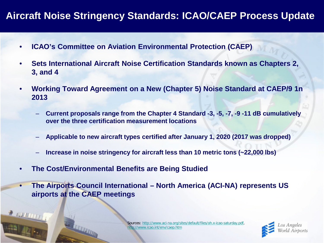## **Aircraft Noise Stringency Standards: ICAO/CAEP Process Update**

- **ICAO's Committee on Aviation Environmental Protection (CAEP)**
- **Sets International Aircraft Noise Certification Standards known as Chapters 2, 3, and 4**
- **Working Toward Agreement on a New (Chapter 5) Noise Standard at CAEP/9 1n 2013**
	- **Current proposals range from the Chapter 4 Standard -3, -5, -7, -9 -11 dB cumulatively over the three certification measurement locations**
	- **Applicable to new aircraft types certified after January 1, 2020 (2017 was dropped)**
	- **Increase in noise stringency for aircraft less than 10 metric tons (~22,000 lbs)**
- **The Cost/Environmental Benefits are Being Studied**

2 100 10 11 1

• **The Airports Council International – North America (ACI-NA) represents US airports at the CAEP meetings** 

> Sources: [http://www.aci-na.org/sites/default/files/oh.x-icao-saturday.pdf,](http://www.aci-na.org/sites/default/files/oh.x-icao-saturday.pdf) <http://www.icao.int/env/caep.htm>